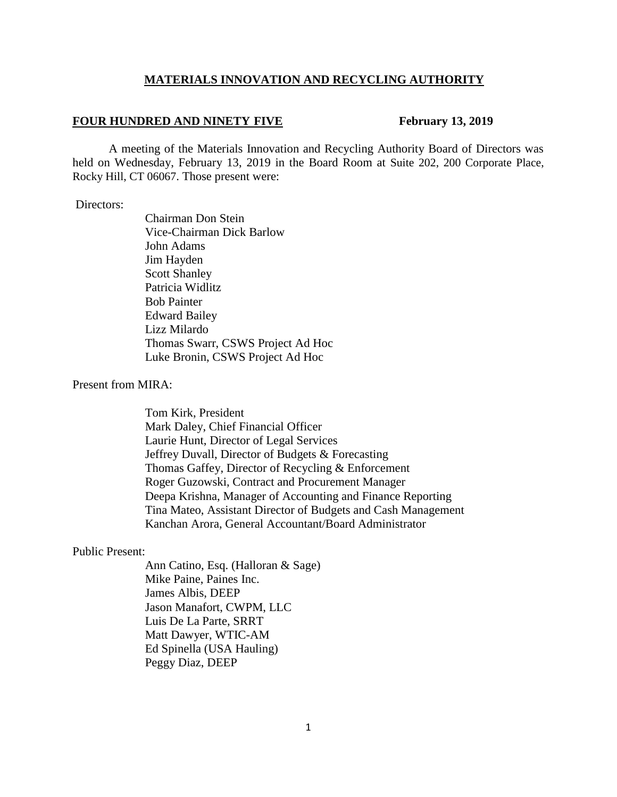#### **MATERIALS INNOVATION AND RECYCLING AUTHORITY**

#### **FOUR HUNDRED AND NINETY FIVE February 13, 2019**

A meeting of the Materials Innovation and Recycling Authority Board of Directors was held on Wednesday, February 13, 2019 in the Board Room at Suite 202, 200 Corporate Place, Rocky Hill, CT 06067. Those present were:

#### Directors:

Chairman Don Stein Vice-Chairman Dick Barlow John Adams Jim Hayden Scott Shanley Patricia Widlitz Bob Painter Edward Bailey Lizz Milardo Thomas Swarr, CSWS Project Ad Hoc Luke Bronin, CSWS Project Ad Hoc

#### Present from MIRA:

 Tom Kirk, President Mark Daley, Chief Financial Officer Laurie Hunt, Director of Legal Services Jeffrey Duvall, Director of Budgets & Forecasting Thomas Gaffey, Director of Recycling & Enforcement Roger Guzowski, Contract and Procurement Manager Deepa Krishna, Manager of Accounting and Finance Reporting Tina Mateo, Assistant Director of Budgets and Cash Management Kanchan Arora, General Accountant/Board Administrator

#### Public Present:

Ann Catino, Esq. (Halloran & Sage) Mike Paine, Paines Inc. James Albis, DEEP Jason Manafort, CWPM, LLC Luis De La Parte, SRRT Matt Dawyer, WTIC-AM Ed Spinella (USA Hauling) Peggy Diaz, DEEP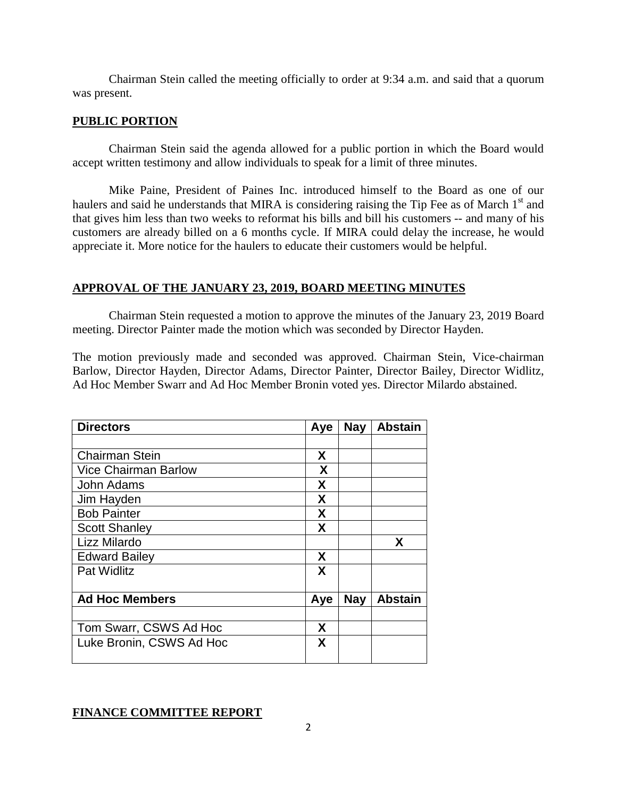Chairman Stein called the meeting officially to order at 9:34 a.m. and said that a quorum was present.

## **PUBLIC PORTION**

Chairman Stein said the agenda allowed for a public portion in which the Board would accept written testimony and allow individuals to speak for a limit of three minutes.

Mike Paine, President of Paines Inc. introduced himself to the Board as one of our haulers and said he understands that MIRA is considering raising the Tip Fee as of March 1<sup>st</sup> and that gives him less than two weeks to reformat his bills and bill his customers -- and many of his customers are already billed on a 6 months cycle. If MIRA could delay the increase, he would appreciate it. More notice for the haulers to educate their customers would be helpful.

## **APPROVAL OF THE JANUARY 23, 2019, BOARD MEETING MINUTES**

Chairman Stein requested a motion to approve the minutes of the January 23, 2019 Board meeting. Director Painter made the motion which was seconded by Director Hayden.

The motion previously made and seconded was approved. Chairman Stein, Vice-chairman Barlow, Director Hayden, Director Adams, Director Painter, Director Bailey, Director Widlitz, Ad Hoc Member Swarr and Ad Hoc Member Bronin voted yes. Director Milardo abstained.

| <b>Directors</b>            | Aye | <b>Nay</b> | <b>Abstain</b> |
|-----------------------------|-----|------------|----------------|
|                             |     |            |                |
| <b>Chairman Stein</b>       | X   |            |                |
| <b>Vice Chairman Barlow</b> | X   |            |                |
| John Adams                  | X   |            |                |
| Jim Hayden                  | X   |            |                |
| <b>Bob Painter</b>          | X   |            |                |
| <b>Scott Shanley</b>        | X   |            |                |
| Lizz Milardo                |     |            | X              |
| <b>Edward Bailey</b>        | X   |            |                |
| <b>Pat Widlitz</b>          | X   |            |                |
| <b>Ad Hoc Members</b>       | Aye | <b>Nay</b> | <b>Abstain</b> |
| Tom Swarr, CSWS Ad Hoc      | X   |            |                |
| Luke Bronin, CSWS Ad Hoc    | X   |            |                |

# **FINANCE COMMITTEE REPORT**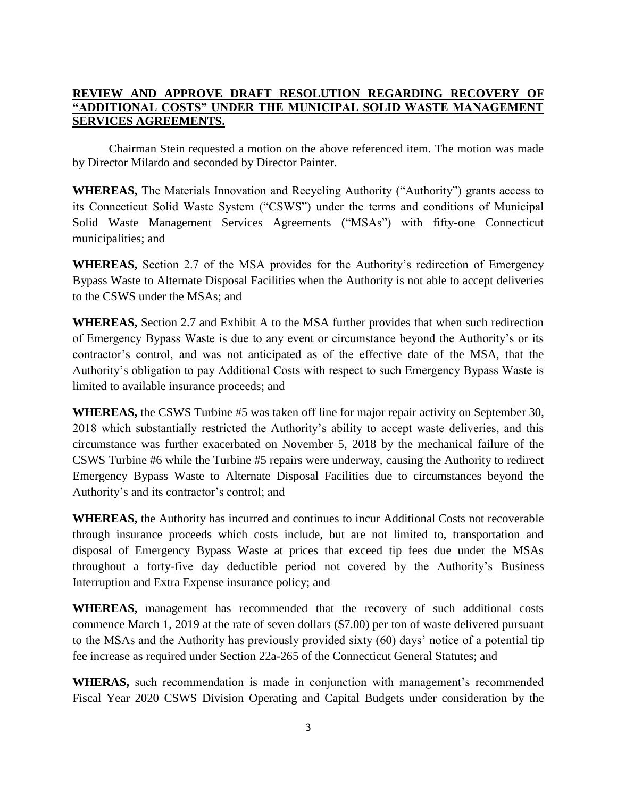# **REVIEW AND APPROVE DRAFT RESOLUTION REGARDING RECOVERY OF "ADDITIONAL COSTS" UNDER THE MUNICIPAL SOLID WASTE MANAGEMENT SERVICES AGREEMENTS.**

Chairman Stein requested a motion on the above referenced item. The motion was made by Director Milardo and seconded by Director Painter.

**WHEREAS,** The Materials Innovation and Recycling Authority ("Authority") grants access to its Connecticut Solid Waste System ("CSWS") under the terms and conditions of Municipal Solid Waste Management Services Agreements ("MSAs") with fifty-one Connecticut municipalities; and

**WHEREAS,** Section 2.7 of the MSA provides for the Authority's redirection of Emergency Bypass Waste to Alternate Disposal Facilities when the Authority is not able to accept deliveries to the CSWS under the MSAs; and

**WHEREAS,** Section 2.7 and Exhibit A to the MSA further provides that when such redirection of Emergency Bypass Waste is due to any event or circumstance beyond the Authority's or its contractor's control, and was not anticipated as of the effective date of the MSA, that the Authority's obligation to pay Additional Costs with respect to such Emergency Bypass Waste is limited to available insurance proceeds; and

**WHEREAS,** the CSWS Turbine #5 was taken off line for major repair activity on September 30, 2018 which substantially restricted the Authority's ability to accept waste deliveries, and this circumstance was further exacerbated on November 5, 2018 by the mechanical failure of the CSWS Turbine #6 while the Turbine #5 repairs were underway, causing the Authority to redirect Emergency Bypass Waste to Alternate Disposal Facilities due to circumstances beyond the Authority's and its contractor's control; and

**WHEREAS,** the Authority has incurred and continues to incur Additional Costs not recoverable through insurance proceeds which costs include, but are not limited to, transportation and disposal of Emergency Bypass Waste at prices that exceed tip fees due under the MSAs throughout a forty-five day deductible period not covered by the Authority's Business Interruption and Extra Expense insurance policy; and

**WHEREAS,** management has recommended that the recovery of such additional costs commence March 1, 2019 at the rate of seven dollars (\$7.00) per ton of waste delivered pursuant to the MSAs and the Authority has previously provided sixty (60) days' notice of a potential tip fee increase as required under Section 22a-265 of the Connecticut General Statutes; and

**WHERAS,** such recommendation is made in conjunction with management's recommended Fiscal Year 2020 CSWS Division Operating and Capital Budgets under consideration by the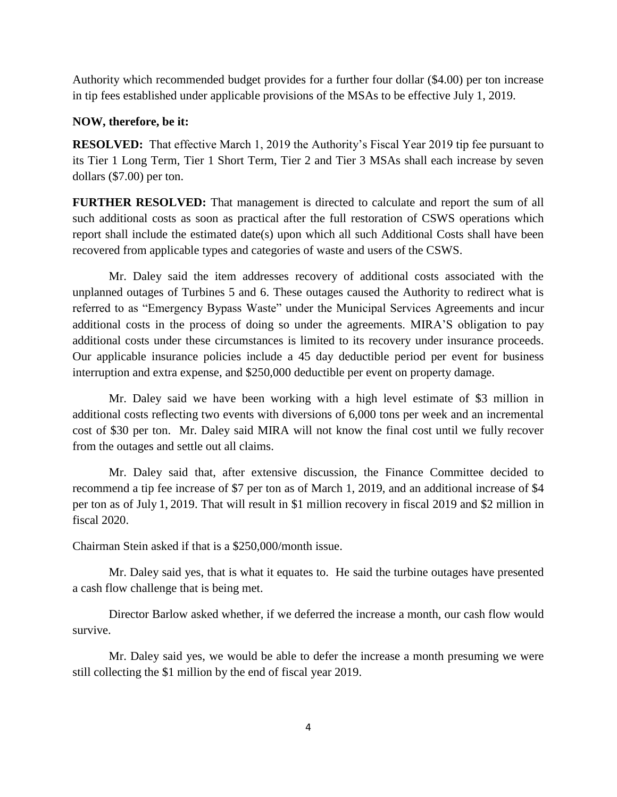Authority which recommended budget provides for a further four dollar (\$4.00) per ton increase in tip fees established under applicable provisions of the MSAs to be effective July 1, 2019.

## **NOW, therefore, be it:**

**RESOLVED:** That effective March 1, 2019 the Authority's Fiscal Year 2019 tip fee pursuant to its Tier 1 Long Term, Tier 1 Short Term, Tier 2 and Tier 3 MSAs shall each increase by seven dollars (\$7.00) per ton.

**FURTHER RESOLVED:** That management is directed to calculate and report the sum of all such additional costs as soon as practical after the full restoration of CSWS operations which report shall include the estimated date(s) upon which all such Additional Costs shall have been recovered from applicable types and categories of waste and users of the CSWS.

Mr. Daley said the item addresses recovery of additional costs associated with the unplanned outages of Turbines 5 and 6. These outages caused the Authority to redirect what is referred to as "Emergency Bypass Waste" under the Municipal Services Agreements and incur additional costs in the process of doing so under the agreements. MIRA'S obligation to pay additional costs under these circumstances is limited to its recovery under insurance proceeds. Our applicable insurance policies include a 45 day deductible period per event for business interruption and extra expense, and \$250,000 deductible per event on property damage.

Mr. Daley said we have been working with a high level estimate of \$3 million in additional costs reflecting two events with diversions of 6,000 tons per week and an incremental cost of \$30 per ton. Mr. Daley said MIRA will not know the final cost until we fully recover from the outages and settle out all claims.

Mr. Daley said that, after extensive discussion, the Finance Committee decided to recommend a tip fee increase of \$7 per ton as of March 1, 2019, and an additional increase of \$4 per ton as of July 1, 2019. That will result in \$1 million recovery in fiscal 2019 and \$2 million in fiscal 2020.

Chairman Stein asked if that is a \$250,000/month issue.

Mr. Daley said yes, that is what it equates to. He said the turbine outages have presented a cash flow challenge that is being met.

Director Barlow asked whether, if we deferred the increase a month, our cash flow would survive.

Mr. Daley said yes, we would be able to defer the increase a month presuming we were still collecting the \$1 million by the end of fiscal year 2019.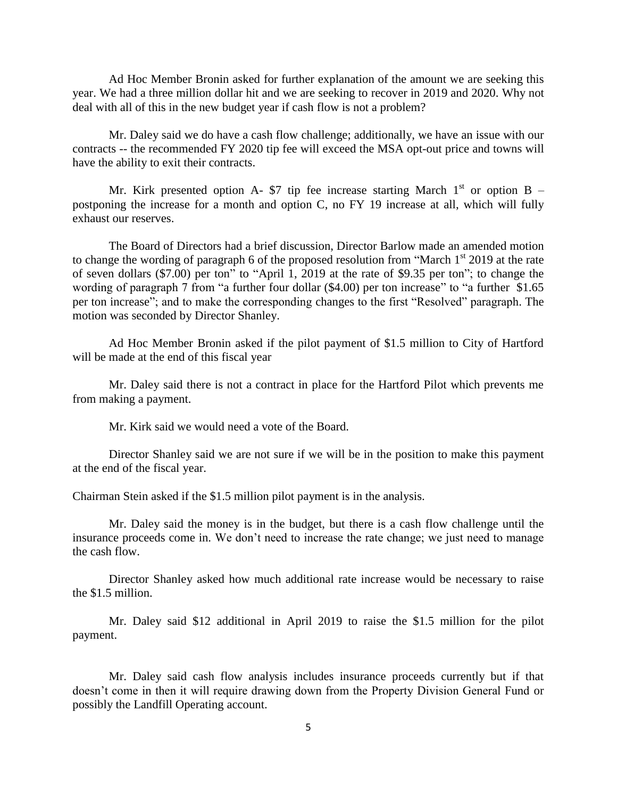Ad Hoc Member Bronin asked for further explanation of the amount we are seeking this year. We had a three million dollar hit and we are seeking to recover in 2019 and 2020. Why not deal with all of this in the new budget year if cash flow is not a problem?

Mr. Daley said we do have a cash flow challenge; additionally, we have an issue with our contracts -- the recommended FY 2020 tip fee will exceed the MSA opt-out price and towns will have the ability to exit their contracts.

Mr. Kirk presented option A- \$7 tip fee increase starting March  $1<sup>st</sup>$  or option B – postponing the increase for a month and option C, no FY 19 increase at all, which will fully exhaust our reserves.

The Board of Directors had a brief discussion, Director Barlow made an amended motion to change the wording of paragraph 6 of the proposed resolution from "March 1<sup>st</sup> 2019 at the rate of seven dollars (\$7.00) per ton" to "April 1, 2019 at the rate of \$9.35 per ton"; to change the wording of paragraph 7 from "a further four dollar (\$4.00) per ton increase" to "a further \$1.65 per ton increase"; and to make the corresponding changes to the first "Resolved" paragraph. The motion was seconded by Director Shanley.

Ad Hoc Member Bronin asked if the pilot payment of \$1.5 million to City of Hartford will be made at the end of this fiscal year

Mr. Daley said there is not a contract in place for the Hartford Pilot which prevents me from making a payment.

Mr. Kirk said we would need a vote of the Board.

Director Shanley said we are not sure if we will be in the position to make this payment at the end of the fiscal year.

Chairman Stein asked if the \$1.5 million pilot payment is in the analysis.

Mr. Daley said the money is in the budget, but there is a cash flow challenge until the insurance proceeds come in. We don't need to increase the rate change; we just need to manage the cash flow.

Director Shanley asked how much additional rate increase would be necessary to raise the \$1.5 million.

Mr. Daley said \$12 additional in April 2019 to raise the \$1.5 million for the pilot payment.

Mr. Daley said cash flow analysis includes insurance proceeds currently but if that doesn't come in then it will require drawing down from the Property Division General Fund or possibly the Landfill Operating account.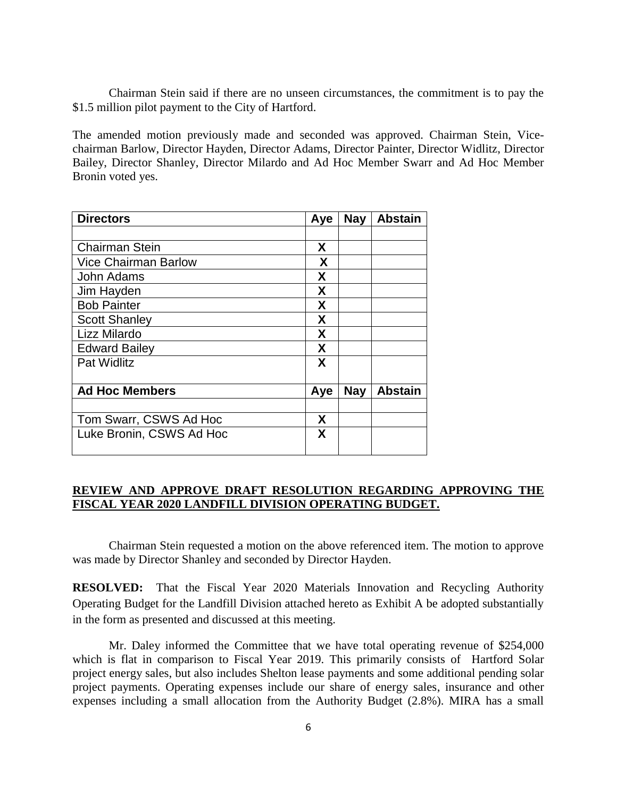Chairman Stein said if there are no unseen circumstances, the commitment is to pay the \$1.5 million pilot payment to the City of Hartford.

The amended motion previously made and seconded was approved. Chairman Stein, Vicechairman Barlow, Director Hayden, Director Adams, Director Painter, Director Widlitz, Director Bailey, Director Shanley, Director Milardo and Ad Hoc Member Swarr and Ad Hoc Member Bronin voted yes.

| <b>Directors</b>            | Aye | <b>Nay</b> | <b>Abstain</b> |
|-----------------------------|-----|------------|----------------|
|                             |     |            |                |
| <b>Chairman Stein</b>       | X   |            |                |
| <b>Vice Chairman Barlow</b> | X   |            |                |
| John Adams                  | X   |            |                |
| Jim Hayden                  | X   |            |                |
| <b>Bob Painter</b>          | X   |            |                |
| <b>Scott Shanley</b>        | X   |            |                |
| Lizz Milardo                | X   |            |                |
| <b>Edward Bailey</b>        | X   |            |                |
| <b>Pat Widlitz</b>          | X   |            |                |
|                             |     |            |                |
| <b>Ad Hoc Members</b>       | Aye | <b>Nay</b> | <b>Abstain</b> |
|                             |     |            |                |
| Tom Swarr, CSWS Ad Hoc      | X   |            |                |
| Luke Bronin, CSWS Ad Hoc    | X   |            |                |
|                             |     |            |                |

## **REVIEW AND APPROVE DRAFT RESOLUTION REGARDING APPROVING THE FISCAL YEAR 2020 LANDFILL DIVISION OPERATING BUDGET.**

Chairman Stein requested a motion on the above referenced item. The motion to approve was made by Director Shanley and seconded by Director Hayden.

**RESOLVED:** That the Fiscal Year 2020 Materials Innovation and Recycling Authority Operating Budget for the Landfill Division attached hereto as Exhibit A be adopted substantially in the form as presented and discussed at this meeting.

Mr. Daley informed the Committee that we have total operating revenue of \$254,000 which is flat in comparison to Fiscal Year 2019. This primarily consists of Hartford Solar project energy sales, but also includes Shelton lease payments and some additional pending solar project payments. Operating expenses include our share of energy sales, insurance and other expenses including a small allocation from the Authority Budget (2.8%). MIRA has a small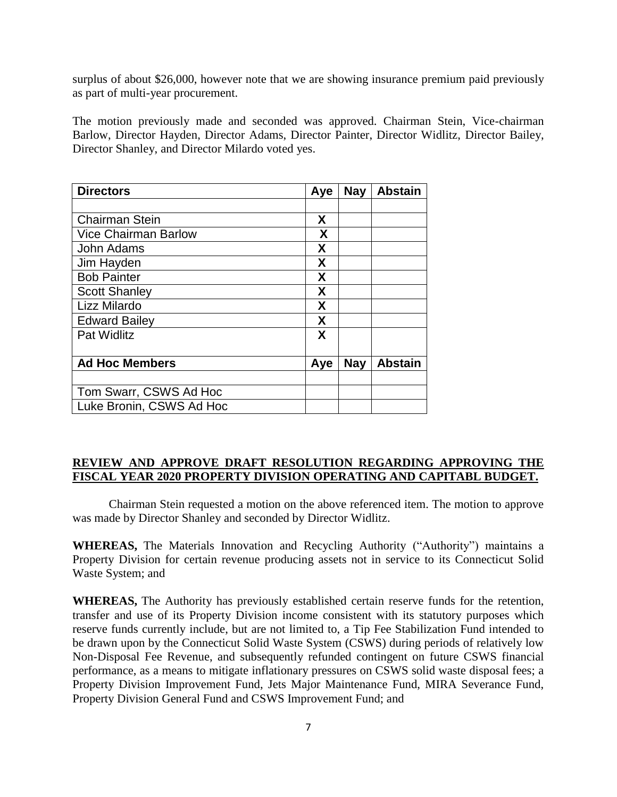surplus of about \$26,000, however note that we are showing insurance premium paid previously as part of multi-year procurement.

The motion previously made and seconded was approved. Chairman Stein, Vice-chairman Barlow, Director Hayden, Director Adams, Director Painter, Director Widlitz, Director Bailey, Director Shanley, and Director Milardo voted yes.

| <b>Directors</b>            | Aye | <b>Nay</b> | <b>Abstain</b> |
|-----------------------------|-----|------------|----------------|
|                             |     |            |                |
| <b>Chairman Stein</b>       | X   |            |                |
| <b>Vice Chairman Barlow</b> | X   |            |                |
| John Adams                  | X   |            |                |
| Jim Hayden                  | X   |            |                |
| <b>Bob Painter</b>          | X   |            |                |
| <b>Scott Shanley</b>        | X   |            |                |
| Lizz Milardo                | X   |            |                |
| <b>Edward Bailey</b>        | X   |            |                |
| <b>Pat Widlitz</b>          | X   |            |                |
| <b>Ad Hoc Members</b>       | Aye | <b>Nay</b> | <b>Abstain</b> |
|                             |     |            |                |
| Tom Swarr, CSWS Ad Hoc      |     |            |                |
| Luke Bronin, CSWS Ad Hoc    |     |            |                |

## **REVIEW AND APPROVE DRAFT RESOLUTION REGARDING APPROVING THE FISCAL YEAR 2020 PROPERTY DIVISION OPERATING AND CAPITABL BUDGET.**

Chairman Stein requested a motion on the above referenced item. The motion to approve was made by Director Shanley and seconded by Director Widlitz.

**WHEREAS,** The Materials Innovation and Recycling Authority ("Authority") maintains a Property Division for certain revenue producing assets not in service to its Connecticut Solid Waste System; and

**WHEREAS,** The Authority has previously established certain reserve funds for the retention, transfer and use of its Property Division income consistent with its statutory purposes which reserve funds currently include, but are not limited to, a Tip Fee Stabilization Fund intended to be drawn upon by the Connecticut Solid Waste System (CSWS) during periods of relatively low Non-Disposal Fee Revenue, and subsequently refunded contingent on future CSWS financial performance, as a means to mitigate inflationary pressures on CSWS solid waste disposal fees; a Property Division Improvement Fund, Jets Major Maintenance Fund, MIRA Severance Fund, Property Division General Fund and CSWS Improvement Fund; and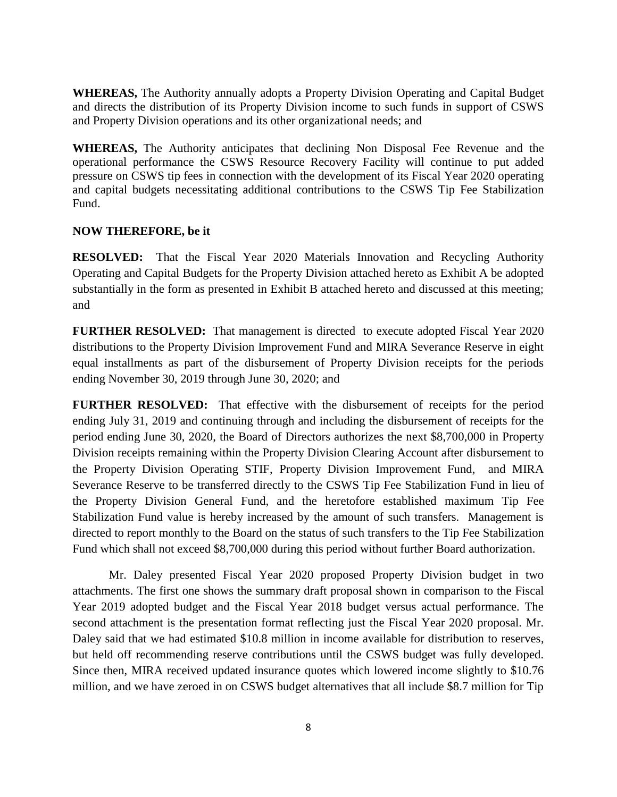**WHEREAS,** The Authority annually adopts a Property Division Operating and Capital Budget and directs the distribution of its Property Division income to such funds in support of CSWS and Property Division operations and its other organizational needs; and

**WHEREAS,** The Authority anticipates that declining Non Disposal Fee Revenue and the operational performance the CSWS Resource Recovery Facility will continue to put added pressure on CSWS tip fees in connection with the development of its Fiscal Year 2020 operating and capital budgets necessitating additional contributions to the CSWS Tip Fee Stabilization Fund.

## **NOW THEREFORE, be it**

**RESOLVED:** That the Fiscal Year 2020 Materials Innovation and Recycling Authority Operating and Capital Budgets for the Property Division attached hereto as Exhibit A be adopted substantially in the form as presented in Exhibit B attached hereto and discussed at this meeting; and

**FURTHER RESOLVED:** That management is directed to execute adopted Fiscal Year 2020 distributions to the Property Division Improvement Fund and MIRA Severance Reserve in eight equal installments as part of the disbursement of Property Division receipts for the periods ending November 30, 2019 through June 30, 2020; and

**FURTHER RESOLVED:** That effective with the disbursement of receipts for the period ending July 31, 2019 and continuing through and including the disbursement of receipts for the period ending June 30, 2020, the Board of Directors authorizes the next \$8,700,000 in Property Division receipts remaining within the Property Division Clearing Account after disbursement to the Property Division Operating STIF, Property Division Improvement Fund, and MIRA Severance Reserve to be transferred directly to the CSWS Tip Fee Stabilization Fund in lieu of the Property Division General Fund, and the heretofore established maximum Tip Fee Stabilization Fund value is hereby increased by the amount of such transfers. Management is directed to report monthly to the Board on the status of such transfers to the Tip Fee Stabilization Fund which shall not exceed \$8,700,000 during this period without further Board authorization.

Mr. Daley presented Fiscal Year 2020 proposed Property Division budget in two attachments. The first one shows the summary draft proposal shown in comparison to the Fiscal Year 2019 adopted budget and the Fiscal Year 2018 budget versus actual performance. The second attachment is the presentation format reflecting just the Fiscal Year 2020 proposal. Mr. Daley said that we had estimated \$10.8 million in income available for distribution to reserves, but held off recommending reserve contributions until the CSWS budget was fully developed. Since then, MIRA received updated insurance quotes which lowered income slightly to \$10.76 million, and we have zeroed in on CSWS budget alternatives that all include \$8.7 million for Tip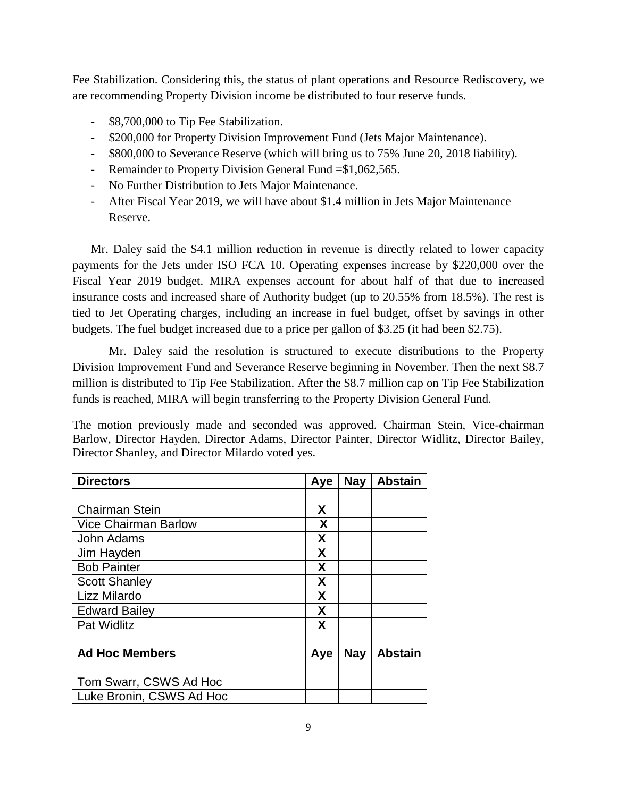Fee Stabilization. Considering this, the status of plant operations and Resource Rediscovery, we are recommending Property Division income be distributed to four reserve funds.

- \$8,700,000 to Tip Fee Stabilization.
- \$200,000 for Property Division Improvement Fund (Jets Major Maintenance).
- \$800,000 to Severance Reserve (which will bring us to 75% June 20, 2018 liability).
- Remainder to Property Division General Fund = \$1,062,565.
- No Further Distribution to Jets Major Maintenance.
- After Fiscal Year 2019, we will have about \$1.4 million in Jets Major Maintenance Reserve.

Mr. Daley said the \$4.1 million reduction in revenue is directly related to lower capacity payments for the Jets under ISO FCA 10. Operating expenses increase by \$220,000 over the Fiscal Year 2019 budget. MIRA expenses account for about half of that due to increased insurance costs and increased share of Authority budget (up to 20.55% from 18.5%). The rest is tied to Jet Operating charges, including an increase in fuel budget, offset by savings in other budgets. The fuel budget increased due to a price per gallon of \$3.25 (it had been \$2.75).

Mr. Daley said the resolution is structured to execute distributions to the Property Division Improvement Fund and Severance Reserve beginning in November. Then the next \$8.7 million is distributed to Tip Fee Stabilization. After the \$8.7 million cap on Tip Fee Stabilization funds is reached, MIRA will begin transferring to the Property Division General Fund.

The motion previously made and seconded was approved. Chairman Stein, Vice-chairman Barlow, Director Hayden, Director Adams, Director Painter, Director Widlitz, Director Bailey, Director Shanley, and Director Milardo voted yes.

| <b>Directors</b>            | Aye | <b>Nay</b> | <b>Abstain</b> |
|-----------------------------|-----|------------|----------------|
|                             |     |            |                |
| <b>Chairman Stein</b>       | X   |            |                |
| <b>Vice Chairman Barlow</b> | X   |            |                |
| John Adams                  | X   |            |                |
| Jim Hayden                  | X   |            |                |
| <b>Bob Painter</b>          | X   |            |                |
| <b>Scott Shanley</b>        | X   |            |                |
| Lizz Milardo                | X   |            |                |
| <b>Edward Bailey</b>        | X   |            |                |
| <b>Pat Widlitz</b>          | X   |            |                |
|                             |     |            |                |
| <b>Ad Hoc Members</b>       | Aye | <b>Nay</b> | <b>Abstain</b> |
|                             |     |            |                |
| Tom Swarr, CSWS Ad Hoc      |     |            |                |
| Luke Bronin, CSWS Ad Hoc    |     |            |                |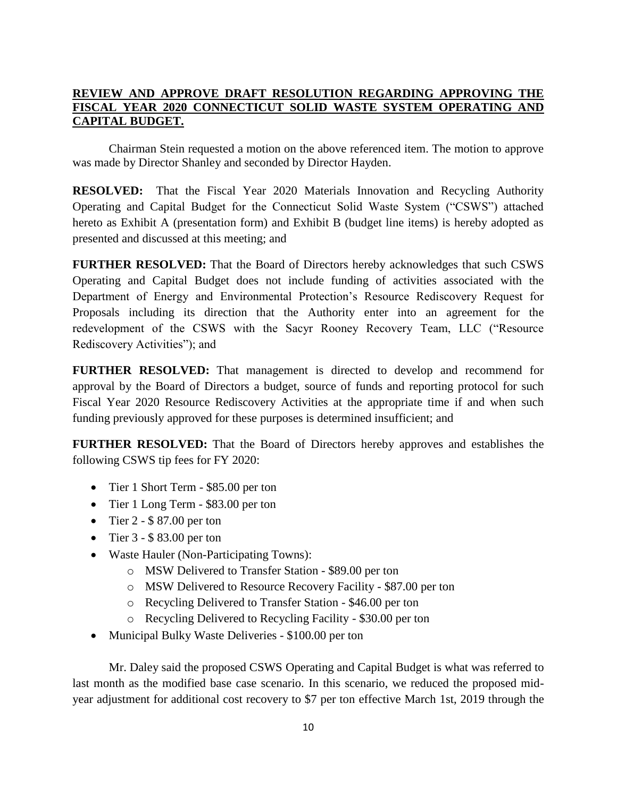# **REVIEW AND APPROVE DRAFT RESOLUTION REGARDING APPROVING THE FISCAL YEAR 2020 CONNECTICUT SOLID WASTE SYSTEM OPERATING AND CAPITAL BUDGET.**

Chairman Stein requested a motion on the above referenced item. The motion to approve was made by Director Shanley and seconded by Director Hayden.

**RESOLVED:** That the Fiscal Year 2020 Materials Innovation and Recycling Authority Operating and Capital Budget for the Connecticut Solid Waste System ("CSWS") attached hereto as Exhibit A (presentation form) and Exhibit B (budget line items) is hereby adopted as presented and discussed at this meeting; and

**FURTHER RESOLVED:** That the Board of Directors hereby acknowledges that such CSWS Operating and Capital Budget does not include funding of activities associated with the Department of Energy and Environmental Protection's Resource Rediscovery Request for Proposals including its direction that the Authority enter into an agreement for the redevelopment of the CSWS with the Sacyr Rooney Recovery Team, LLC ("Resource Rediscovery Activities"); and

**FURTHER RESOLVED:** That management is directed to develop and recommend for approval by the Board of Directors a budget, source of funds and reporting protocol for such Fiscal Year 2020 Resource Rediscovery Activities at the appropriate time if and when such funding previously approved for these purposes is determined insufficient; and

**FURTHER RESOLVED:** That the Board of Directors hereby approves and establishes the following CSWS tip fees for FY 2020:

- Tier 1 Short Term \$85.00 per ton
- Tier 1 Long Term \$83.00 per ton
- $\bullet$  Tier 2 \$87.00 per ton
- Tier  $3 $83.00$  per ton
- Waste Hauler (Non-Participating Towns):
	- o MSW Delivered to Transfer Station \$89.00 per ton
	- o MSW Delivered to Resource Recovery Facility \$87.00 per ton
	- o Recycling Delivered to Transfer Station \$46.00 per ton
	- o Recycling Delivered to Recycling Facility \$30.00 per ton
- Municipal Bulky Waste Deliveries \$100.00 per ton

Mr. Daley said the proposed CSWS Operating and Capital Budget is what was referred to last month as the modified base case scenario. In this scenario, we reduced the proposed midyear adjustment for additional cost recovery to \$7 per ton effective March 1st, 2019 through the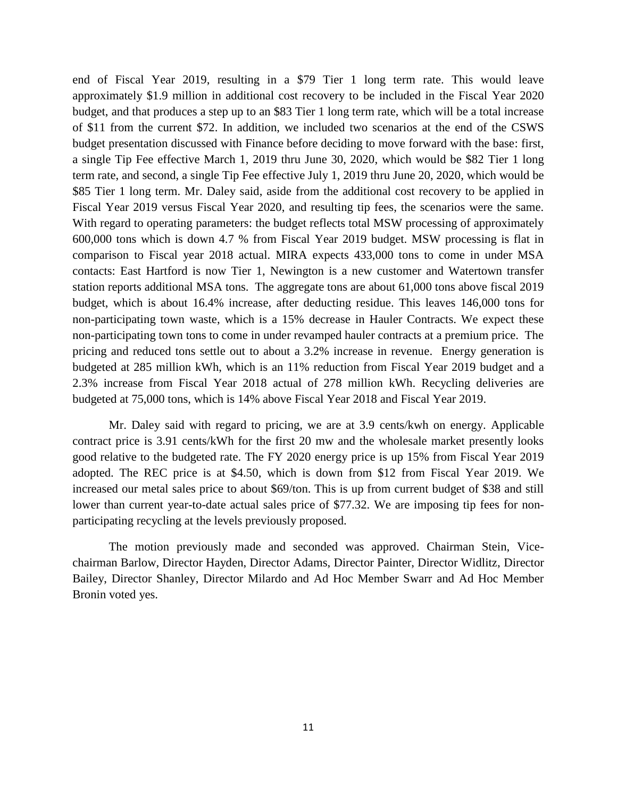end of Fiscal Year 2019, resulting in a \$79 Tier 1 long term rate. This would leave approximately \$1.9 million in additional cost recovery to be included in the Fiscal Year 2020 budget, and that produces a step up to an \$83 Tier 1 long term rate, which will be a total increase of \$11 from the current \$72. In addition, we included two scenarios at the end of the CSWS budget presentation discussed with Finance before deciding to move forward with the base: first, a single Tip Fee effective March 1, 2019 thru June 30, 2020, which would be \$82 Tier 1 long term rate, and second, a single Tip Fee effective July 1, 2019 thru June 20, 2020, which would be \$85 Tier 1 long term. Mr. Daley said, aside from the additional cost recovery to be applied in Fiscal Year 2019 versus Fiscal Year 2020, and resulting tip fees, the scenarios were the same. With regard to operating parameters: the budget reflects total MSW processing of approximately 600,000 tons which is down 4.7 % from Fiscal Year 2019 budget. MSW processing is flat in comparison to Fiscal year 2018 actual. MIRA expects 433,000 tons to come in under MSA contacts: East Hartford is now Tier 1, Newington is a new customer and Watertown transfer station reports additional MSA tons. The aggregate tons are about 61,000 tons above fiscal 2019 budget, which is about 16.4% increase, after deducting residue. This leaves 146,000 tons for non-participating town waste, which is a 15% decrease in Hauler Contracts. We expect these non-participating town tons to come in under revamped hauler contracts at a premium price. The pricing and reduced tons settle out to about a 3.2% increase in revenue. Energy generation is budgeted at 285 million kWh, which is an 11% reduction from Fiscal Year 2019 budget and a 2.3% increase from Fiscal Year 2018 actual of 278 million kWh. Recycling deliveries are budgeted at 75,000 tons, which is 14% above Fiscal Year 2018 and Fiscal Year 2019.

Mr. Daley said with regard to pricing, we are at 3.9 cents/kwh on energy. Applicable contract price is 3.91 cents/kWh for the first 20 mw and the wholesale market presently looks good relative to the budgeted rate. The FY 2020 energy price is up 15% from Fiscal Year 2019 adopted. The REC price is at \$4.50, which is down from \$12 from Fiscal Year 2019. We increased our metal sales price to about \$69/ton. This is up from current budget of \$38 and still lower than current year-to-date actual sales price of \$77.32. We are imposing tip fees for nonparticipating recycling at the levels previously proposed.

The motion previously made and seconded was approved. Chairman Stein, Vicechairman Barlow, Director Hayden, Director Adams, Director Painter, Director Widlitz, Director Bailey, Director Shanley, Director Milardo and Ad Hoc Member Swarr and Ad Hoc Member Bronin voted yes.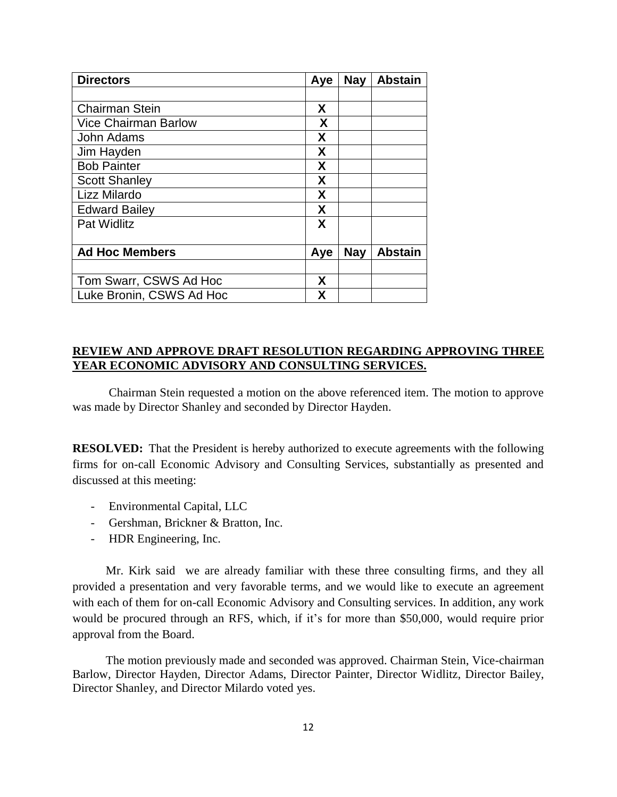| <b>Directors</b>            | Aye | <b>Nay</b> | <b>Abstain</b> |
|-----------------------------|-----|------------|----------------|
|                             |     |            |                |
| <b>Chairman Stein</b>       | X   |            |                |
| <b>Vice Chairman Barlow</b> | X   |            |                |
| John Adams                  | X   |            |                |
| Jim Hayden                  | X   |            |                |
| <b>Bob Painter</b>          | X   |            |                |
| <b>Scott Shanley</b>        | X   |            |                |
| Lizz Milardo                | X   |            |                |
| <b>Edward Bailey</b>        | X   |            |                |
| <b>Pat Widlitz</b>          | X   |            |                |
|                             |     |            |                |
| <b>Ad Hoc Members</b>       | Aye | <b>Nay</b> | <b>Abstain</b> |
|                             |     |            |                |
| Tom Swarr, CSWS Ad Hoc      | X   |            |                |
| Luke Bronin, CSWS Ad Hoc    | x   |            |                |

## **REVIEW AND APPROVE DRAFT RESOLUTION REGARDING APPROVING THREE YEAR ECONOMIC ADVISORY AND CONSULTING SERVICES.**

Chairman Stein requested a motion on the above referenced item. The motion to approve was made by Director Shanley and seconded by Director Hayden.

**RESOLVED:** That the President is hereby authorized to execute agreements with the following firms for on-call Economic Advisory and Consulting Services, substantially as presented and discussed at this meeting:

- Environmental Capital, LLC
- Gershman, Brickner & Bratton, Inc.
- HDR Engineering, Inc.

 Mr. Kirk said we are already familiar with these three consulting firms, and they all provided a presentation and very favorable terms, and we would like to execute an agreement with each of them for on-call Economic Advisory and Consulting services. In addition, any work would be procured through an RFS, which, if it's for more than \$50,000, would require prior approval from the Board.

 The motion previously made and seconded was approved. Chairman Stein, Vice-chairman Barlow, Director Hayden, Director Adams, Director Painter, Director Widlitz, Director Bailey, Director Shanley, and Director Milardo voted yes.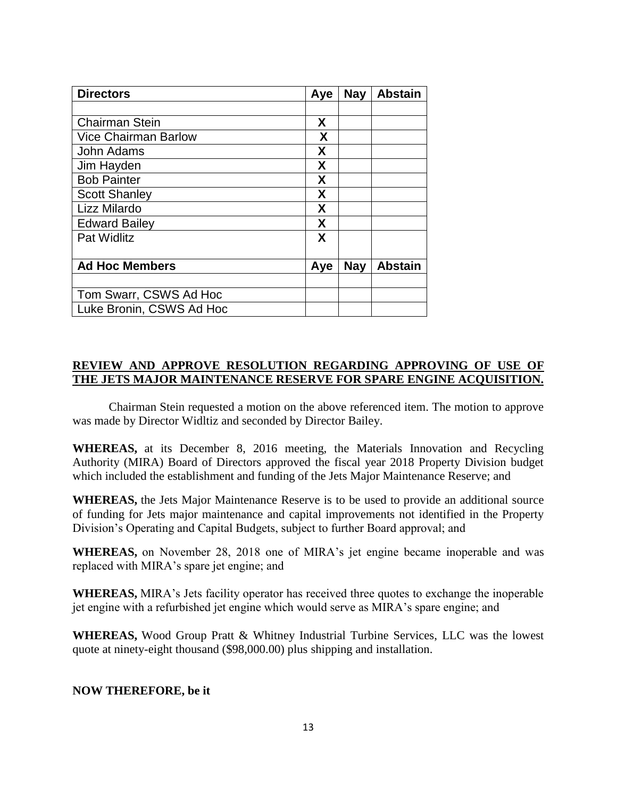| <b>Directors</b>            | Aye | <b>Nay</b> | <b>Abstain</b> |
|-----------------------------|-----|------------|----------------|
|                             |     |            |                |
| <b>Chairman Stein</b>       | X   |            |                |
| <b>Vice Chairman Barlow</b> | X   |            |                |
| John Adams                  | X   |            |                |
| Jim Hayden                  | X   |            |                |
| <b>Bob Painter</b>          | X   |            |                |
| <b>Scott Shanley</b>        | X   |            |                |
| Lizz Milardo                | X   |            |                |
| <b>Edward Bailey</b>        | X   |            |                |
| <b>Pat Widlitz</b>          | X   |            |                |
| <b>Ad Hoc Members</b>       | Aye | <b>Nay</b> | <b>Abstain</b> |
|                             |     |            |                |
| Tom Swarr, CSWS Ad Hoc      |     |            |                |
| Luke Bronin, CSWS Ad Hoc    |     |            |                |

## **REVIEW AND APPROVE RESOLUTION REGARDING APPROVING OF USE OF THE JETS MAJOR MAINTENANCE RESERVE FOR SPARE ENGINE ACQUISITION.**

Chairman Stein requested a motion on the above referenced item. The motion to approve was made by Director Widltiz and seconded by Director Bailey.

**WHEREAS,** at its December 8, 2016 meeting, the Materials Innovation and Recycling Authority (MIRA) Board of Directors approved the fiscal year 2018 Property Division budget which included the establishment and funding of the Jets Major Maintenance Reserve; and

**WHEREAS,** the Jets Major Maintenance Reserve is to be used to provide an additional source of funding for Jets major maintenance and capital improvements not identified in the Property Division's Operating and Capital Budgets, subject to further Board approval; and

**WHEREAS,** on November 28, 2018 one of MIRA's jet engine became inoperable and was replaced with MIRA's spare jet engine; and

**WHEREAS,** MIRA's Jets facility operator has received three quotes to exchange the inoperable jet engine with a refurbished jet engine which would serve as MIRA's spare engine; and

**WHEREAS,** Wood Group Pratt & Whitney Industrial Turbine Services, LLC was the lowest quote at ninety-eight thousand (\$98,000.00) plus shipping and installation.

## **NOW THEREFORE, be it**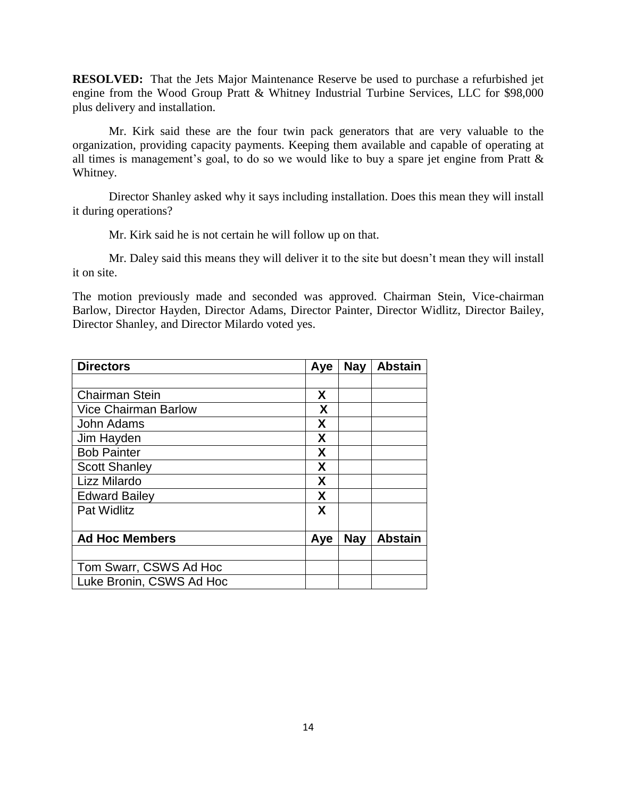**RESOLVED:** That the Jets Major Maintenance Reserve be used to purchase a refurbished jet engine from the Wood Group Pratt & Whitney Industrial Turbine Services, LLC for \$98,000 plus delivery and installation.

Mr. Kirk said these are the four twin pack generators that are very valuable to the organization, providing capacity payments. Keeping them available and capable of operating at all times is management's goal, to do so we would like to buy a spare jet engine from Pratt & Whitney.

Director Shanley asked why it says including installation. Does this mean they will install it during operations?

Mr. Kirk said he is not certain he will follow up on that.

Mr. Daley said this means they will deliver it to the site but doesn't mean they will install it on site.

The motion previously made and seconded was approved. Chairman Stein, Vice-chairman Barlow, Director Hayden, Director Adams, Director Painter, Director Widlitz, Director Bailey, Director Shanley, and Director Milardo voted yes.

| <b>Directors</b>            | Aye | <b>Nay</b> | <b>Abstain</b> |
|-----------------------------|-----|------------|----------------|
|                             |     |            |                |
| <b>Chairman Stein</b>       | X   |            |                |
| <b>Vice Chairman Barlow</b> | X   |            |                |
| John Adams                  | X   |            |                |
| Jim Hayden                  | X   |            |                |
| <b>Bob Painter</b>          | X   |            |                |
| <b>Scott Shanley</b>        | X   |            |                |
| Lizz Milardo                | Χ   |            |                |
| <b>Edward Bailey</b>        | X   |            |                |
| <b>Pat Widlitz</b>          | X   |            |                |
| <b>Ad Hoc Members</b>       | Aye | <b>Nay</b> | <b>Abstain</b> |
|                             |     |            |                |
| Tom Swarr, CSWS Ad Hoc      |     |            |                |
| Luke Bronin, CSWS Ad Hoc    |     |            |                |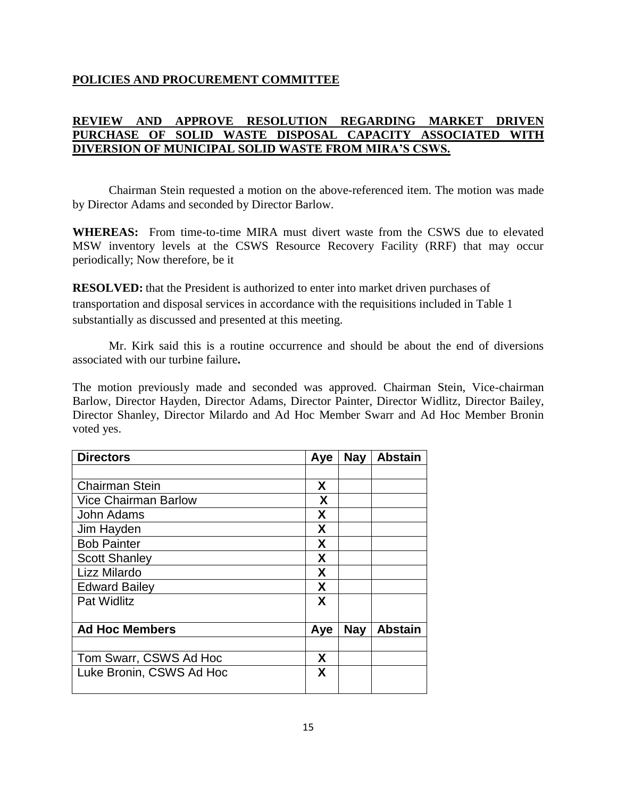# **POLICIES AND PROCUREMENT COMMITTEE**

# **REVIEW AND APPROVE RESOLUTION REGARDING MARKET DRIVEN PURCHASE OF SOLID WASTE DISPOSAL CAPACITY ASSOCIATED WITH DIVERSION OF MUNICIPAL SOLID WASTE FROM MIRA'S CSWS.**

Chairman Stein requested a motion on the above-referenced item. The motion was made by Director Adams and seconded by Director Barlow.

**WHEREAS:** From time-to-time MIRA must divert waste from the CSWS due to elevated MSW inventory levels at the CSWS Resource Recovery Facility (RRF) that may occur periodically; Now therefore, be it

**RESOLVED:** that the President is authorized to enter into market driven purchases of transportation and disposal services in accordance with the requisitions included in Table 1 substantially as discussed and presented at this meeting.

Mr. Kirk said this is a routine occurrence and should be about the end of diversions associated with our turbine failure**.**

The motion previously made and seconded was approved. Chairman Stein, Vice-chairman Barlow, Director Hayden, Director Adams, Director Painter, Director Widlitz, Director Bailey, Director Shanley, Director Milardo and Ad Hoc Member Swarr and Ad Hoc Member Bronin voted yes.

| Aye | <b>Nay</b> | <b>Abstain</b> |
|-----|------------|----------------|
|     |            |                |
| X   |            |                |
| X   |            |                |
| X   |            |                |
| X   |            |                |
| X   |            |                |
| X   |            |                |
| X   |            |                |
| X   |            |                |
| X   |            |                |
| Aye | <b>Nay</b> | <b>Abstain</b> |
| X   |            |                |
| X   |            |                |
|     |            |                |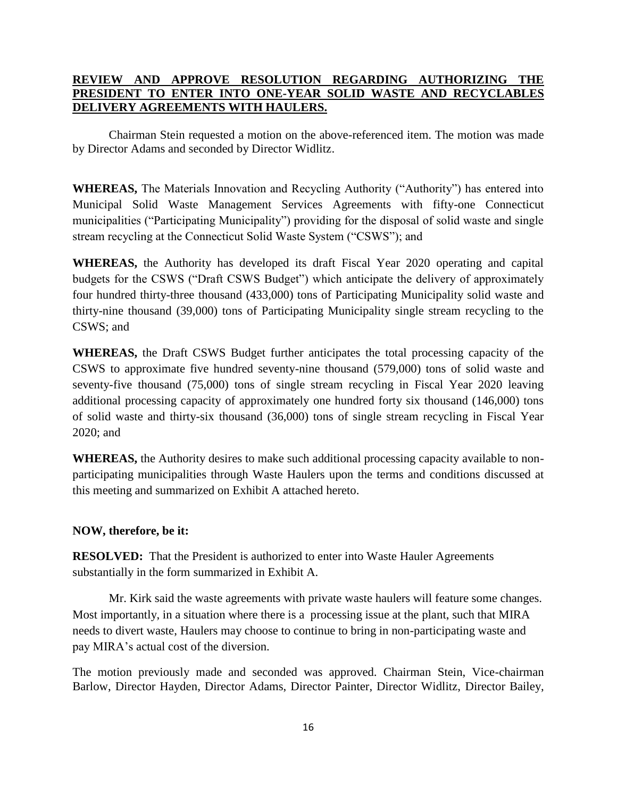# **REVIEW AND APPROVE RESOLUTION REGARDING AUTHORIZING THE PRESIDENT TO ENTER INTO ONE-YEAR SOLID WASTE AND RECYCLABLES DELIVERY AGREEMENTS WITH HAULERS.**

Chairman Stein requested a motion on the above-referenced item. The motion was made by Director Adams and seconded by Director Widlitz.

**WHEREAS,** The Materials Innovation and Recycling Authority ("Authority") has entered into Municipal Solid Waste Management Services Agreements with fifty-one Connecticut municipalities ("Participating Municipality") providing for the disposal of solid waste and single stream recycling at the Connecticut Solid Waste System ("CSWS"); and

**WHEREAS,** the Authority has developed its draft Fiscal Year 2020 operating and capital budgets for the CSWS ("Draft CSWS Budget") which anticipate the delivery of approximately four hundred thirty-three thousand (433,000) tons of Participating Municipality solid waste and thirty-nine thousand (39,000) tons of Participating Municipality single stream recycling to the CSWS; and

**WHEREAS,** the Draft CSWS Budget further anticipates the total processing capacity of the CSWS to approximate five hundred seventy-nine thousand (579,000) tons of solid waste and seventy-five thousand (75,000) tons of single stream recycling in Fiscal Year 2020 leaving additional processing capacity of approximately one hundred forty six thousand (146,000) tons of solid waste and thirty-six thousand (36,000) tons of single stream recycling in Fiscal Year 2020; and

**WHEREAS,** the Authority desires to make such additional processing capacity available to nonparticipating municipalities through Waste Haulers upon the terms and conditions discussed at this meeting and summarized on Exhibit A attached hereto.

#### **NOW, therefore, be it:**

**RESOLVED:** That the President is authorized to enter into Waste Hauler Agreements substantially in the form summarized in Exhibit A.

Mr. Kirk said the waste agreements with private waste haulers will feature some changes. Most importantly, in a situation where there is a processing issue at the plant, such that MIRA needs to divert waste, Haulers may choose to continue to bring in non-participating waste and pay MIRA's actual cost of the diversion.

The motion previously made and seconded was approved. Chairman Stein, Vice-chairman Barlow, Director Hayden, Director Adams, Director Painter, Director Widlitz, Director Bailey,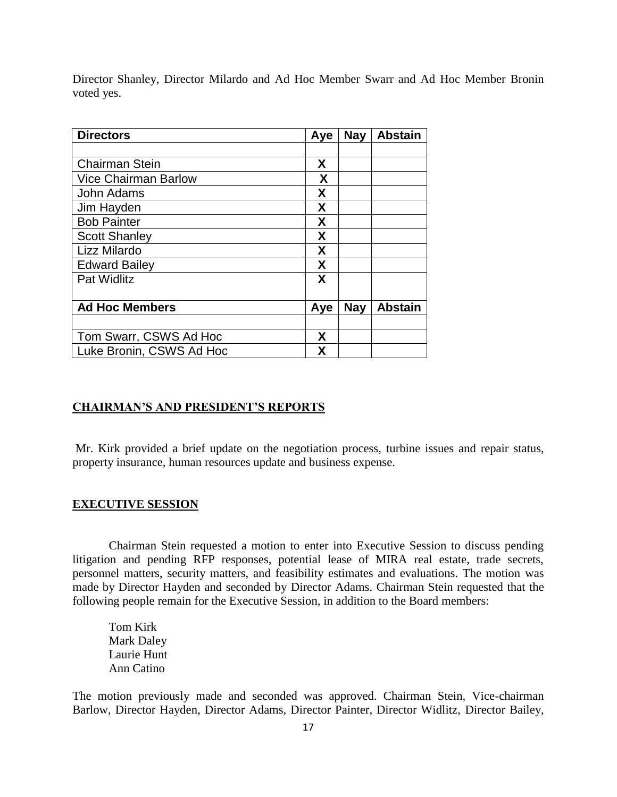Director Shanley, Director Milardo and Ad Hoc Member Swarr and Ad Hoc Member Bronin voted yes.

| <b>Directors</b>            | Aye | <b>Nay</b> | <b>Abstain</b> |
|-----------------------------|-----|------------|----------------|
|                             |     |            |                |
| <b>Chairman Stein</b>       | X   |            |                |
| <b>Vice Chairman Barlow</b> | X   |            |                |
| John Adams                  | X   |            |                |
| Jim Hayden                  | X   |            |                |
| <b>Bob Painter</b>          | X   |            |                |
| <b>Scott Shanley</b>        | X   |            |                |
| Lizz Milardo                | X   |            |                |
| <b>Edward Bailey</b>        | X   |            |                |
| Pat Widlitz                 | X   |            |                |
|                             |     |            |                |
| <b>Ad Hoc Members</b>       | Aye | <b>Nay</b> | <b>Abstain</b> |
|                             |     |            |                |
| Tom Swarr, CSWS Ad Hoc      | X   |            |                |
| Luke Bronin, CSWS Ad Hoc    | χ   |            |                |

#### **CHAIRMAN'S AND PRESIDENT'S REPORTS**

Mr. Kirk provided a brief update on the negotiation process, turbine issues and repair status, property insurance, human resources update and business expense.

#### **EXECUTIVE SESSION**

Chairman Stein requested a motion to enter into Executive Session to discuss pending litigation and pending RFP responses, potential lease of MIRA real estate, trade secrets, personnel matters, security matters, and feasibility estimates and evaluations. The motion was made by Director Hayden and seconded by Director Adams. Chairman Stein requested that the following people remain for the Executive Session, in addition to the Board members:

Tom Kirk Mark Daley Laurie Hunt Ann Catino

The motion previously made and seconded was approved. Chairman Stein, Vice-chairman Barlow, Director Hayden, Director Adams, Director Painter, Director Widlitz, Director Bailey,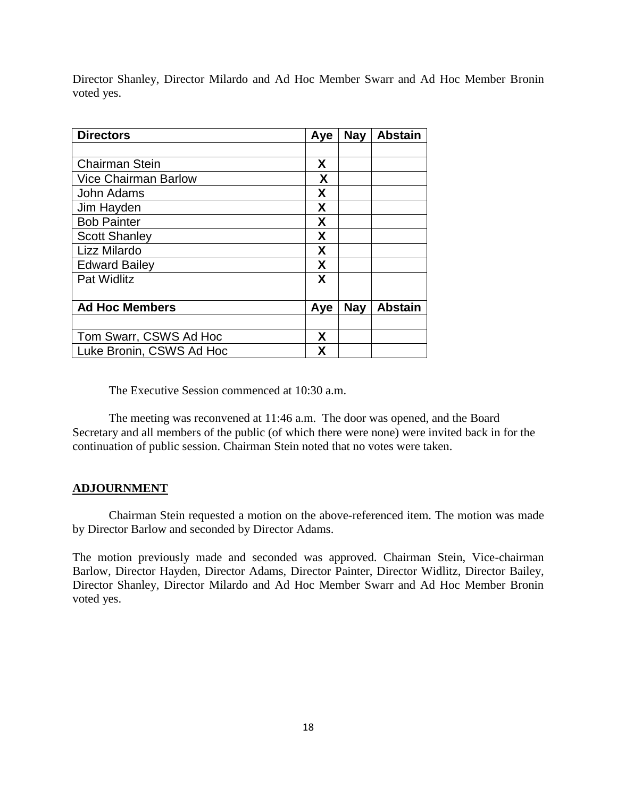Director Shanley, Director Milardo and Ad Hoc Member Swarr and Ad Hoc Member Bronin voted yes.

| <b>Directors</b>            | Aye | <b>Nay</b> | <b>Abstain</b> |
|-----------------------------|-----|------------|----------------|
|                             |     |            |                |
| <b>Chairman Stein</b>       | X   |            |                |
| <b>Vice Chairman Barlow</b> | X   |            |                |
| John Adams                  | X   |            |                |
| Jim Hayden                  | X   |            |                |
| <b>Bob Painter</b>          | X   |            |                |
| <b>Scott Shanley</b>        | X   |            |                |
| Lizz Milardo                | X   |            |                |
| <b>Edward Bailey</b>        | X   |            |                |
| <b>Pat Widlitz</b>          | X   |            |                |
|                             |     |            |                |
| <b>Ad Hoc Members</b>       | Aye | <b>Nay</b> | <b>Abstain</b> |
|                             |     |            |                |
| Tom Swarr, CSWS Ad Hoc      | X   |            |                |
| Luke Bronin, CSWS Ad Hoc    | X   |            |                |

The Executive Session commenced at 10:30 a.m.

The meeting was reconvened at 11:46 a.m. The door was opened, and the Board Secretary and all members of the public (of which there were none) were invited back in for the continuation of public session. Chairman Stein noted that no votes were taken.

# **ADJOURNMENT**

Chairman Stein requested a motion on the above-referenced item. The motion was made by Director Barlow and seconded by Director Adams.

The motion previously made and seconded was approved. Chairman Stein, Vice-chairman Barlow, Director Hayden, Director Adams, Director Painter, Director Widlitz, Director Bailey, Director Shanley, Director Milardo and Ad Hoc Member Swarr and Ad Hoc Member Bronin voted yes.